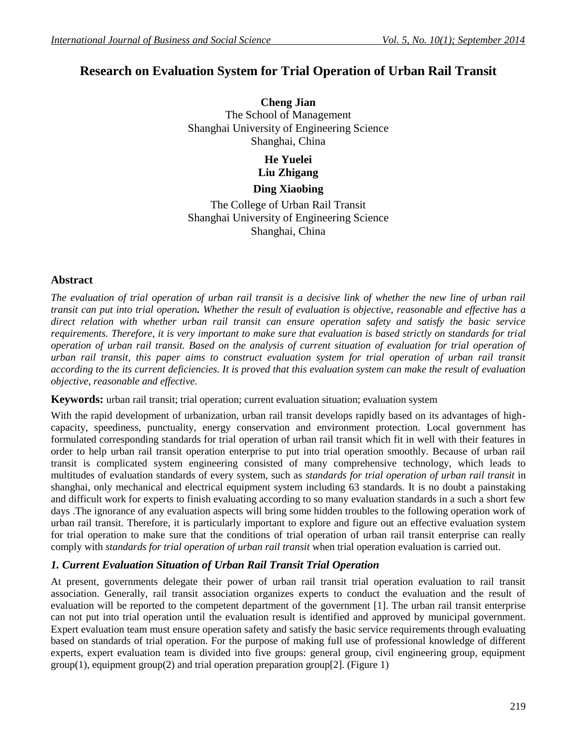# **Research on Evaluation System for Trial Operation of Urban Rail Transit**

**Cheng Jian**  The School of Management Shanghai University of Engineering Science Shanghai, China

# **He Yuelei Liu Zhigang**

### **Ding Xiaobing**

The College of Urban Rail Transit Shanghai University of Engineering Science Shanghai, China

### **Abstract**

*The evaluation of trial operation of urban rail transit is a decisive link of whether the new line of urban rail transit can put into trial operation. Whether the result of evaluation is objective, reasonable and effective has a direct relation with whether urban rail transit can ensure operation safety and satisfy the basic service requirements. Therefore, it is very important to make sure that evaluation is based strictly on standards for trial operation of urban rail transit. Based on the analysis of current situation of evaluation for trial operation of urban rail transit, this paper aims to construct evaluation system for trial operation of urban rail transit according to the its current deficiencies. It is proved that this evaluation system can make the result of evaluation objective, reasonable and effective.*

**Keywords:** urban rail transit; trial operation; current evaluation situation; evaluation system

With the rapid development of urbanization, urban rail transit develops rapidly based on its advantages of highcapacity, speediness, punctuality, energy conservation and environment protection. Local government has formulated corresponding standards for trial operation of urban rail transit which fit in well with their features in order to help urban rail transit operation enterprise to put into trial operation smoothly. Because of urban rail transit is complicated system engineering consisted of many comprehensive technology, which leads to multitudes of evaluation standards of every system, such as *standards for trial operation of urban rail transit* in shanghai, only mechanical and electrical equipment system including 63 standards. It is no doubt a painstaking and difficult work for experts to finish evaluating according to so many evaluation standards in a such a short few days .The ignorance of any evaluation aspects will bring some hidden troubles to the following operation work of urban rail transit. Therefore, it is particularly important to explore and figure out an effective evaluation system for trial operation to make sure that the conditions of trial operation of urban rail transit enterprise can really comply with *standards for trial operation of urban rail transit* when trial operation evaluation is carried out.

# *1. Current Evaluation Situation of Urban Rail Transit Trial Operation*

At present, governments delegate their power of urban rail transit trial operation evaluation to rail transit association. Generally, rail transit association organizes experts to conduct the evaluation and the result of evaluation will be reported to the competent department of the government [1]. The urban rail transit enterprise can not put into trial operation until the evaluation result is identified and approved by municipal government. Expert evaluation team must ensure operation safety and satisfy the basic service requirements through evaluating based on standards of trial operation. For the purpose of making full use of professional knowledge of different experts, expert evaluation team is divided into five groups: general group, civil engineering group, equipment  $group(1)$ , equipment  $group(2)$  and trial operation preparation group[2]. (Figure 1)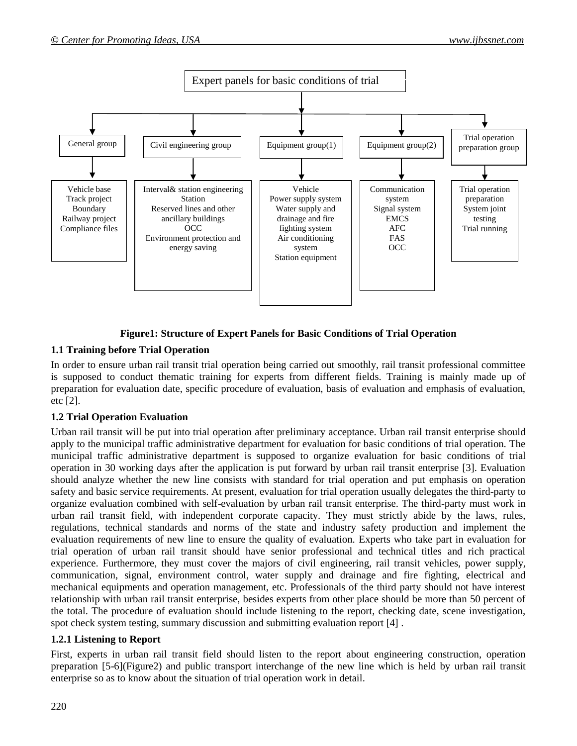

### **Figure1: Structure of Expert Panels for Basic Conditions of Trial Operation**

# **1.1 Training before Trial Operation**

In order to ensure urban rail transit trial operation being carried out smoothly, rail transit professional committee is supposed to conduct thematic training for experts from different fields. Training is mainly made up of preparation for evaluation date, specific procedure of evaluation, basis of evaluation and emphasis of evaluation, etc [2].

# **1.2 Trial Operation Evaluation**

Urban rail transit will be put into trial operation after preliminary acceptance. Urban rail transit enterprise should apply to the municipal traffic administrative department for evaluation for basic conditions of trial operation. The municipal traffic administrative department is supposed to organize evaluation for basic conditions of trial operation in 30 working days after the application is put forward by urban rail transit enterprise [3]. Evaluation should analyze whether the new line consists with standard for trial operation and put emphasis on operation safety and basic service requirements. At present, evaluation for trial operation usually delegates the third-party to organize evaluation combined with self-evaluation by urban rail transit enterprise. The third-party must work in urban rail transit field, with independent corporate capacity. They must strictly abide by the laws, rules, regulations, technical standards and norms of the state and industry safety production and implement the evaluation requirements of new line to ensure the quality of evaluation. Experts who take part in evaluation for trial operation of urban rail transit should have senior professional and technical titles and rich practical experience. Furthermore, they must cover the majors of civil engineering, rail transit vehicles, power supply, communication, signal, environment control, water supply and drainage and fire fighting, electrical and mechanical equipments and operation management, etc. Professionals of the third party should not have interest relationship with urban rail transit enterprise, besides experts from other place should be more than 50 percent of the total. The procedure of evaluation should include listening to the report, checking date, scene investigation, spot check system testing, summary discussion and submitting evaluation report [4] .

### **1.2.1 Listening to Report**

First, experts in urban rail transit field should listen to the report about engineering construction, operation preparation [5-6](Figure2) and public transport interchange of the new line which is held by urban rail transit enterprise so as to know about the situation of trial operation work in detail.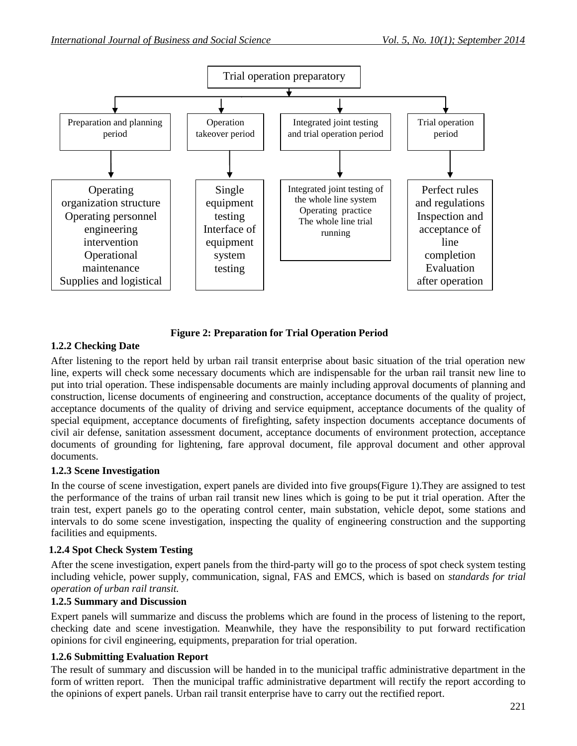

### **Figure 2: Preparation for Trial Operation Period**

### **1.2.2 Checking Date**

After listening to the report held by urban rail transit enterprise about basic situation of the trial operation new line, experts will check some necessary documents which are indispensable for the urban rail transit new line to put into trial operation. These indispensable documents are mainly including approval documents of planning and construction, license documents of engineering and construction, acceptance documents of the quality of project, acceptance documents of the quality of driving and service equipment, acceptance documents of the quality of special equipment, acceptance documents of firefighting, safety inspection documents acceptance documents of civil air defense, sanitation assessment document, acceptance documents of environment protection, acceptance documents of grounding for lightening, fare approval document, file approval document and other approval documents.

### **1.2.3 Scene Investigation**

In the course of scene investigation, expert panels are divided into five groups(Figure 1).They are assigned to test the performance of the trains of urban rail transit new lines which is going to be put it trial operation. After the train test, expert panels go to the operating control center, main substation, vehicle depot, some stations and intervals to do some scene investigation, inspecting the quality of engineering construction and the supporting facilities and equipments.

### **1.2.4 Spot Check System Testing**

After the scene investigation, expert panels from the third-party will go to the process of spot check system testing including vehicle, power supply, communication, signal, FAS and EMCS, which is based on *standards for trial operation of urban rail transit.*

### **1.2.5 Summary and Discussion**

Expert panels will summarize and discuss the problems which are found in the process of listening to the report, checking date and scene investigation. Meanwhile, they have the responsibility to put forward rectification opinions for civil engineering, equipments, preparation for trial operation.

### **1.2.6 Submitting Evaluation Report**

The result of summary and discussion will be handed in to the municipal traffic administrative department in the form of written report. Then the municipal traffic administrative department will rectify the report according to the opinions of expert panels. Urban rail transit enterprise have to carry out the rectified report.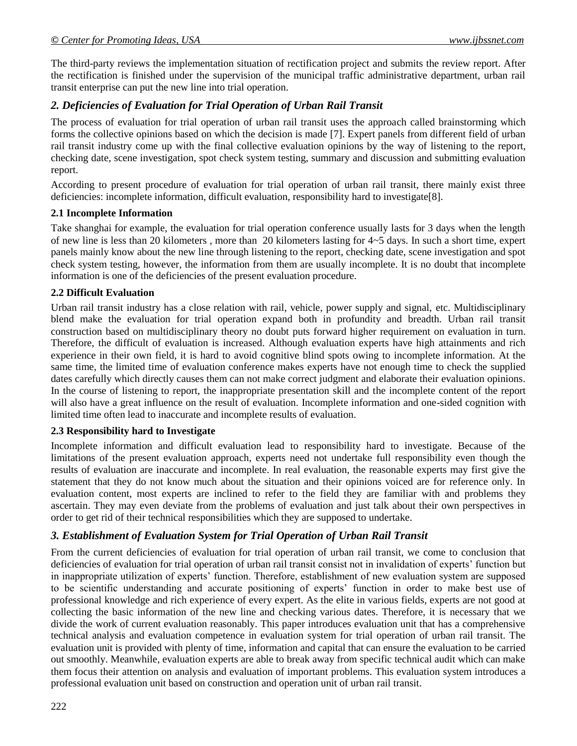The third-party reviews the implementation situation of rectification project and submits the review report. After the rectification is finished under the supervision of the municipal traffic administrative department, urban rail transit enterprise can put the new line into trial operation.

### *2. Deficiencies of Evaluation for Trial Operation of Urban Rail Transit*

The process of evaluation for trial operation of urban rail transit uses the approach called brainstorming which forms the collective opinions based on which the decision is made [7]. Expert panels from different field of urban rail transit industry come up with the final collective evaluation opinions by the way of listening to the report, checking date, scene investigation, spot check system testing, summary and discussion and submitting evaluation report.

According to present procedure of evaluation for trial operation of urban rail transit, there mainly exist three deficiencies: incomplete information, difficult evaluation, responsibility hard to investigate[8].

#### **2.1 Incomplete Information**

Take shanghai for example, the evaluation for trial operation conference usually lasts for 3 days when the length of new line is less than 20 kilometers , more than 20 kilometers lasting for 4~5 days. In such a short time, expert panels mainly know about the new line through listening to the report, checking date, scene investigation and spot check system testing, however, the information from them are usually incomplete. It is no doubt that incomplete information is one of the deficiencies of the present evaluation procedure.

#### **2.2 Difficult Evaluation**

Urban rail transit industry has a close relation with rail, vehicle, power supply and signal, etc. Multidisciplinary blend make the evaluation for trial operation expand both in profundity and breadth. Urban rail transit construction based on multidisciplinary theory no doubt puts forward higher requirement on evaluation in turn. Therefore, the difficult of evaluation is increased. Although evaluation experts have high attainments and rich experience in their own field, it is hard to avoid cognitive blind spots owing to incomplete information. At the same time, the limited time of evaluation conference makes experts have not enough time to check the supplied dates carefully which directly causes them can not make correct judgment and elaborate their evaluation opinions. In the course of listening to report, the inappropriate presentation skill and the incomplete content of the report will also have a great influence on the result of evaluation. Incomplete information and one-sided cognition with limited time often lead to inaccurate and incomplete results of evaluation.

#### **2.3 Responsibility hard to Investigate**

Incomplete information and difficult evaluation lead to responsibility hard to investigate. Because of the limitations of the present evaluation approach, experts need not undertake full responsibility even though the results of evaluation are inaccurate and incomplete. In real evaluation, the reasonable experts may first give the statement that they do not know much about the situation and their opinions voiced are for reference only. In evaluation content, most experts are inclined to refer to the field they are familiar with and problems they ascertain. They may even deviate from the problems of evaluation and just talk about their own perspectives in order to get rid of their technical responsibilities which they are supposed to undertake.

### *3. Establishment of Evaluation System for Trial Operation of Urban Rail Transit*

From the current deficiencies of evaluation for trial operation of urban rail transit, we come to conclusion that deficiencies of evaluation for trial operation of urban rail transit consist not in invalidation of experts' function but in inappropriate utilization of experts' function. Therefore, establishment of new evaluation system are supposed to be scientific understanding and accurate positioning of experts' function in order to make best use of professional knowledge and rich experience of every expert. As the elite in various fields, experts are not good at collecting the basic information of the new line and checking various dates. Therefore, it is necessary that we divide the work of current evaluation reasonably. This paper introduces evaluation unit that has a comprehensive technical analysis and evaluation competence in evaluation system for trial operation of urban rail transit. The evaluation unit is provided with plenty of time, information and capital that can ensure the evaluation to be carried out smoothly. Meanwhile, evaluation experts are able to break away from specific technical audit which can make them focus their attention on analysis and evaluation of important problems. This evaluation system introduces a professional evaluation unit based on construction and operation unit of urban rail transit.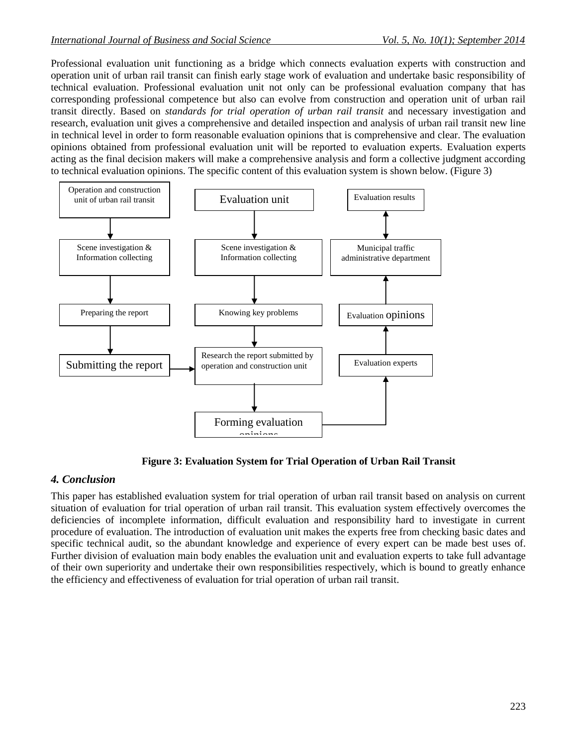Professional evaluation unit functioning as a bridge which connects evaluation experts with construction and operation unit of urban rail transit can finish early stage work of evaluation and undertake basic responsibility of technical evaluation. Professional evaluation unit not only can be professional evaluation company that has corresponding professional competence but also can evolve from construction and operation unit of urban rail transit directly. Based on *standards for trial operation of urban rail transit* and necessary investigation and research, evaluation unit gives a comprehensive and detailed inspection and analysis of urban rail transit new line in technical level in order to form reasonable evaluation opinions that is comprehensive and clear. The evaluation opinions obtained from professional evaluation unit will be reported to evaluation experts. Evaluation experts acting as the final decision makers will make a comprehensive analysis and form a collective judgment according to technical evaluation opinions. The specific content of this evaluation system is shown below. (Figure 3)



**Figure 3: Evaluation System for Trial Operation of Urban Rail Transit**

# *4. Conclusion*

This paper has established evaluation system for trial operation of urban rail transit based on analysis on current situation of evaluation for trial operation of urban rail transit. This evaluation system effectively overcomes the deficiencies of incomplete information, difficult evaluation and responsibility hard to investigate in current procedure of evaluation. The introduction of evaluation unit makes the experts free from checking basic dates and specific technical audit, so the abundant knowledge and experience of every expert can be made best uses of. Further division of evaluation main body enables the evaluation unit and evaluation experts to take full advantage of their own superiority and undertake their own responsibilities respectively, which is bound to greatly enhance the efficiency and effectiveness of evaluation for trial operation of urban rail transit.